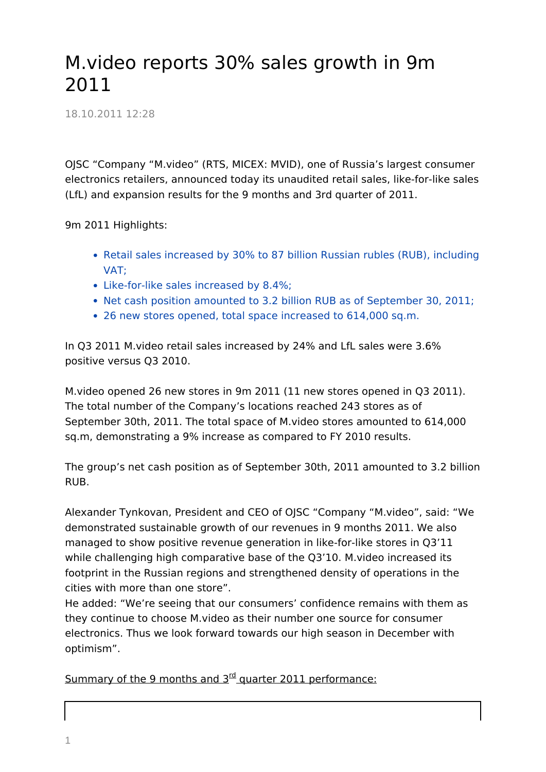## M.video reports 30% sales growth in 9m 2011

18.10.2011 12:28

OJSC "Company "M.video" (RTS, MICEX: MVID), one of Russia's largest consumer electronics retailers, announced today its unaudited retail sales, like-for-like sales (LfL) and expansion results for the 9 months and 3rd quarter of 2011.

9m 2011 Highlights:

- Retail sales increased by 30% to 87 billion Russian rubles (RUB), including VAT;
- Like-for-like sales increased by 8.4%;
- Net cash position amounted to 3.2 billion RUB as of September 30, 2011;
- 26 new stores opened, total space increased to 614,000 sq.m.

In Q3 2011 M.video retail sales increased by 24% and LfL sales were 3.6% positive versus Q3 2010.

M.video opened 26 new stores in 9m 2011 (11 new stores opened in Q3 2011). The total number of the Company's locations reached 243 stores as of September 30th, 2011. The total space of M.video stores amounted to 614,000 sq.m, demonstrating a 9% increase as compared to FY 2010 results.

The group's net cash position as of September 30th, 2011 amounted to 3.2 billion RUB.

Alexander Tynkovan, President and CEO of OJSC "Company "M.video", said: "We demonstrated sustainable growth of our revenues in 9 months 2011. We also managed to show positive revenue generation in like-for-like stores in Q3'11 while challenging high comparative base of the Q3'10. M.video increased its footprint in the Russian regions and strengthened density of operations in the cities with more than one store".

He added: "We're seeing that our consumers' confidence remains with them as they continue to choose M.video as their number one source for consumer electronics. Thus we look forward towards our high season in December with optimism".

Summary of the 9 months and  $3^{rd}$  quarter 2011 performance: